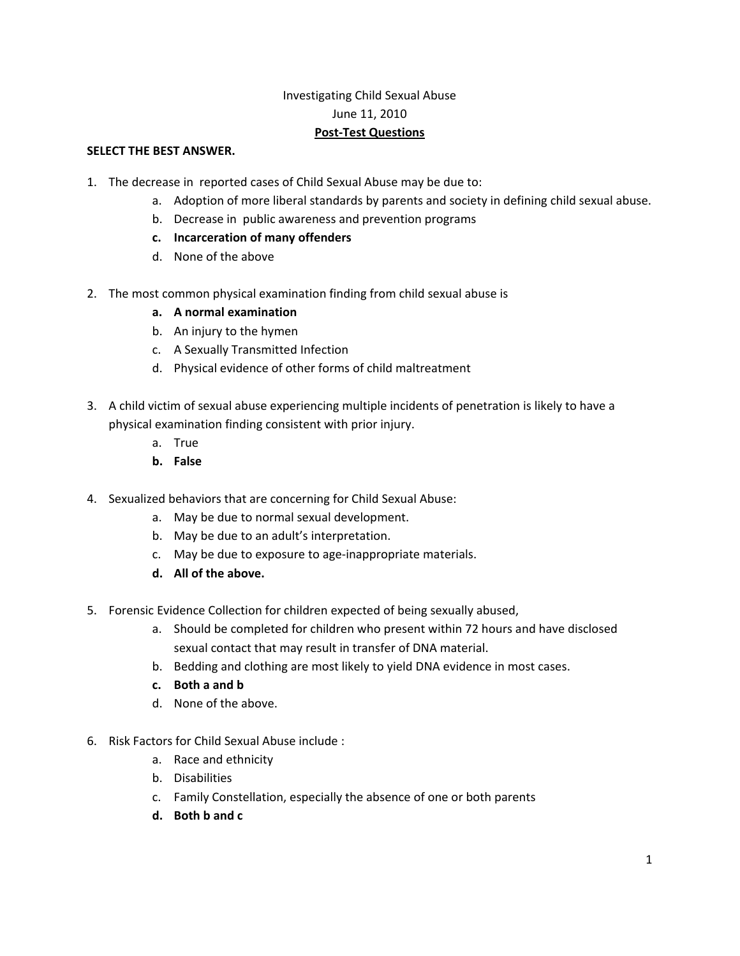## Investigating Child Sexual Abuse June 11, 2010 **Post‐Test Questions**

## **SELECT THE BEST ANSWER.**

- 1. The decrease in reported cases of Child Sexual Abuse may be due to:
	- a. Adoption of more liberal standards by parents and society in defining child sexual abuse.
	- b. Decrease in public awareness and prevention programs
	- **c. Incarceration of many offenders**
	- d. None of the above
- 2. The most common physical examination finding from child sexual abuse is
	- **a. A normal examination**
	- b. An injury to the hymen
	- c. A Sexually Transmitted Infection
	- d. Physical evidence of other forms of child maltreatment
- 3. A child victim of sexual abuse experiencing multiple incidents of penetration is likely to have a physical examination finding consistent with prior injury.
	- a. True
	- **b. False**
- 4. Sexualized behaviors that are concerning for Child Sexual Abuse:
	- a. May be due to normal sexual development.
	- b. May be due to an adult's interpretation.
	- c. May be due to exposure to age‐inappropriate materials.
	- **d. All of the above.**
- 5. Forensic Evidence Collection for children expected of being sexually abused,
	- a. Should be completed for children who present within 72 hours and have disclosed sexual contact that may result in transfer of DNA material.
	- b. Bedding and clothing are most likely to yield DNA evidence in most cases.
	- **c. Both a and b**
	- d. None of the above.
- 6. Risk Factors for Child Sexual Abuse include :
	- a. Race and ethnicity
	- b. Disabilities
	- c. Family Constellation, especially the absence of one or both parents
	- **d. Both b and c**